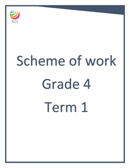

# Scheme of work Grade 4 Term 1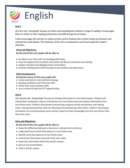

# **Unit 1**

Our first unit, 'Storybook' focuses on fiction and extending the children's range of reading. It encourages them to reflect on their reading preferences and different genres of books.

It also encourages the learners to read as writers and to analyse how a writer builds up character and setting from small details. The emphasis of the unit is introductions and how to grab the reader's attention.

#### **Aims and Objectives:**

**By the end of the unit, pupils will be able to:**

- be able to use 'story talk' terminology effectively
- have the opportunity to predict story plots and discuss characters and setting
- explore narrative and dialogue tense conventions
- practise reading aloud skills focusing on punctuation and expression.

#### **Skills Development:**

## **During the course of this unit, pupils will:**

- revise and build on story talk terminology
- develop prediction and inference skills
- refine their word selection skills
- use a variety of texts and ICT opportunities.

#### **Unit 2**

Our second unit, 'Going Deep' focuses on finding information in non-fiction books. Children will extend their vocabulary, read an introduction to a non-fiction text and analyse information from non-fiction texts. Children will practise summarising using key words and phrases and making notes. Having practised their skills of collecting and summarising information, children will prepare and deliver an oral presentation and a written report on their knowledge from the non-fiction texts they have read.

#### **Aims and Objectives:**

#### **By the end of the unit, pupils will be able to:**

- know the difference between a key word, a phrase and a sentence
- understand how to find information in a non-fiction text
- identify some key features of non-fiction texts
- summarise information and write their own notes
- know key information about the world's oceans
- give an oral presentation.
- write a written report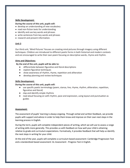#### **Skills Development:**

#### **During the course of this unit, pupils will:**

- develop an understanding of new vocabulary
- read non-fiction texts for understanding
- identify and use key words and phrases
- write sentences from key words and phrases
- research and present information.

## **Unit 3**

Our third unit, 'Mind Pictures' focuses on creating mind pictures through imagery using different techniques. Children are introduced to different poetic forms in both historical and modern contexts and are encouraged to write their own poem focusing on descriptive words, rhyme and rhythm.

#### **Aims and Objectives:**

## **By the end of the unit, pupils will be able to:**

- differentiate between figurative and literal descriptions
- explore figurative techniques
- show awareness of rhythm, rhyme, repetition and alliteration
- develop planning and review techniques

#### **Skills Development:**

#### **During the course of this unit, pupils will:**

- use specific poetic terminology (poem, stanza, line, rhyme, rhythm, alliteration, repetition, figurative and literal)
- clap and identify simple rhythms
- read aloud focusing on with rhythm, pace and expression, using layout and punctuation as guides

#### **Assessment:**

The assessment of pupils' learning is always ongoing. Through verbal and written feedback, we provide pupils with support and advice in order to help them know and improve on their own next steps in the learning process in English.

During the term, pupils will complete independent pieces of writing, which we will use to assess a range of writing skills more generally. This provides us with feedback on how well your child is attaining relative to grade and curriculum expectations. Formatively, it provides feedback that will help us identify the next steps in writing for your child.

At the end of the year, pupils will complete a curriculum based assessment: Cambridge Progression Test and a standardized based assessment: GL Assessment - Progress Test in English.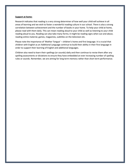#### **Support at home:**

Research indicates that reading is a very strong determiner of how well your child will achieve in all areas of learning and we wish to foster a wonderful reading culture in our school. There is also a strong correlation between achievement and the number of books in your home. To help your child at home, please read with them daily. This can mean reading aloud to your child as well as listening to your child reading aloud to you. Reading can also take many forms; it might be reading signs when out and about, reading online material, games, magazines, subtitles on the television etc.

Please note the importance of 'Mother Tongue' – children's home and first language. It is crucial that children with English as an Additional Language continue to build their ability in their first language in order to support their learning of English and additional languages.

Children also need to learn their spellings (or sounds) daily and then continue to revise them after any spelling assessments or dictations to ensure they have embedded an ever increasing number of spelling rules or sounds. Remember, we are aiming for long term memory rather than short term performance.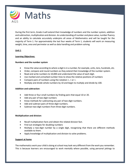

During the first term, Grade 4 will extend their knowledge of numbers and the number system, addition and subtraction, multiplication and division. An understanding of number and place value, number fluency and an ability to calculate accurately underpins all areas of Mathematics and will be taught for the majority of Term 1. For approximately the last four weeks of Term 1, students will work on measuring weight, time, area and perimeter as well as data handling and problem solving.

# **Unit 1**

# **Learning Objectives:**

# **Numbers and the number system**

- Know the value according to where a digit is in a number, for example, units, tens, hundreds, etc.
- Order, compare and round numbers as they extend their knowledge of the number system.
- Read and write numbers to 10,000 and understand the value of each digit.
- Use marked and unmarked number lines to show the relative positions of numbers
- Compare pairs of numbers using the notation  $\lt$ ,  $>$  or  $=$ .
- Multiply and divide whole numbers by 10 and begin to multiply and divide by 100.

# **Addition and subtraction**:

- Add three or four small numbers by finding pairs that equal 10 or 20.
- Add any pair of two-digit numbers
- Know methods for subtracting any pair of two-digit numbers.
- Add and subtract pairs of three-digit numbers.
- Subtract two-digit numbers from three-digit numbers.

# **Multiplication and division**:

- Recall multiplication facts and obtain the related division fact.
- Find out strategies for doubling numbers
- Multiply a two-digit number by a single digit, recognising that there are different methods available to them.
- Apply knowledge of multiplication and division to solve problems.

# **Support at home**

The mathematics work your child is doing at school may look very different from the work you remember. This is because learners are encouraged to work mentally where possible, using personal jottings to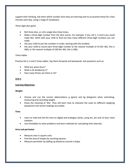support their thinking. Ask them which number facts they are learning and try to practise these for a few minutes each day, using a range of vocabulary.

## *Three-digit dice game*

- Roll three dice, or roll a single dice three times.
- Make a three-digit number from the dice scores. For example, if you roll 2, 4 and 6 you could make 462. Work with your child to find out how many different three-digit numbers you can make.
- Ask your child to put the numbers in order, starting with the smallest.
- Ask your child to round each three-digit number to the nearest multiple of 10 (for 462, this is 460), or the nearest multiple of 100 (for 462, this is 500).

## *Times tables*

Practise the 3, 4 and 5 times tables. Say them forwards and backwards. Ask questions such as:

- What are seven fours?
- What is 45 divided by 5?
- How many threes are there in 24?

# **Unit 2**

# **Learning Objectives:**

# **Weight**:

- Choose and use the correct abbreviations g (gram) and kg (kilogram) when estimating, measuring and recording weight.
- Know the meaning of 'kilo'. They will learn how to interpret the scale on different weighing equipment and record readings accurately.

#### **Time**:

- Learn to read and tell the time on digital and analogue clocks, using am, pm and 12-hour clock notation.
- Use timetables to solve problems and learn methods for calculating time intervals.

# **Area and perimeter**:

- Measure area in square units
- Find the area of shapes by counting squares.
- Measure perimeter by adding up distances around a shape.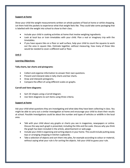#### **Support at home**

Show your child the weight measurements written on whole packets of food at home or whilst shopping. Let them hold the packets to experience what that weight feels like. They could take some packaging that is labelled with the weight into school to show to their class.

- Include your child in cooking activities at home that involve weighing ingredients.
- Look at local bus or train timetables with your child. Plan a real or imaginary trip with the timetables.
- If you have square tiles on a floor or wall surface, help your child to count the squares to work out the area in square tiles. Estimate together, without measuring, how many of those tiles would be needed to cover a different wall or floor.

## **Unit 3**

## **Learning Objectives:**

# **Tally charts, bar charts and pictograms**:

- Collect and organise information to answer their own questions.
- Present and interpret data in tally charts and bar charts.
- Draw and interpret pictograms.
- Compare the effect of using different scales on graphs.

# **Carroll and Venn diagrams**:

- Sort 2D shapes using a Carroll diagram.
- Use Venn diagrams to sort items using three criteria.

# **Support at home**

Ask your child what questions they are investigating and what data they have been collecting in class. You might be able to carry out a similar investigation at home and encourage your child to share their results at school. Possible investigations could be about the number and types of vehicles or wildlife in the local area.

- Talk with your child about any graphs or charts you see in magazines, newspapers or online. Discuss the way each graph is presented, including the title and the scale. Discuss why you think the graph has been included in the article, advertisement or web page.
- Include your child in organising and sorting objects in your home. This could include putting away toys or arranging shopping in kitchen cupboards.
- Take a selection of objects and sort them into piles, for example according to colour or material, without saying what your rule is for sorting the objects. Ask your child to guess your rule.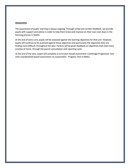#### **Assessment**

The assessment of pupils' learning is always ongoing. Through verbal and written feedback, we provide pupils with support and advice in order to help them know and improve on their own next steps in the learning process in Maths.

At the end of every unit, pupils will be assessed against the learning objectives for that unit. However, pupils will continue to be assessed against these objectives and particularly the objectives they are finding more difficult, throughout the year. Parents will be given feedback on objectives that need more practise at home, through the parent consultation and reporting cycle.

At the end of the year, pupils will complete a curriculum based assessment: Cambridge Progression Test and a standardized based assessment: GL Assessment - Progress Test in Maths.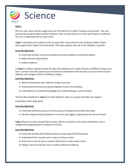

# **Unit 1**

The first unit, which will be taught over the first half term is called 'Humans and Animals'. This unit teaches the students about animal skeletons; how muscles help us to move; and drugs as medicines. The unit is separated into six topic areas.

**Topic 1** introduces the students to the concept that many animals have skeletons made of bone that support their bodies from the inside. This topic explains the role of the skeleton in growth.

## **Learning objectives**

- Know that humans and some animals have bony skeletons inside their bodies.
- Make relevant observations.
- Collect evidence.

In **Topic 2**, children explore further the idea that skeletons are made of bones of different shapes and sizes. Learners have the opportunity to familiarise themselves with the basic structure of the human skeleton and recognise bones of different shapes.

#### **Learning objectives**

- Observe that bones have different shapes and sizes.
- Understand that bones are joined together to form the skeleton.
- Link evidence to scientific knowledge and understanding in some contexts.

The key ideas explored in **Topic 3** are that skeletons allow us to grow and they also support and protect other body parts.

#### **Learning objectives**

- Know how skeletons grow as humans grow and support and protect the body.
- Identify simple trends and patterns in results and suggest explanations for some of these.

**Topic 4** focuses on the concept that muscles, which are joined to the bones of skeletons, act in antagonistic (opposite) pairs to allow us to move.

#### **Learning objectives**

- Know that animals with skeletons have muscles attached to the bones.
- Understand that muscles work in pairs to help us move.
- Know how a muscle has to contract (shorten) to make a bone move.
- Design a fair test and plan how to collect sufficient evidence.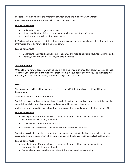In **Topic 5**, learners find out the difference between drugs and medicines, why we take medicines, and the various forms in which medicines are taken.

#### **Learning objectives**

- Explain the role of drugs as medicines.
- Understand that medicines prevent, cure or alleviate symptoms of illness.
- Identify ways in which medicines are taken.

In **Topic 6**, children find out the different ways in which medicines act to make us better. They write an information sheet on how to take medicines safely.

## **Learning objectives**

- Understand that medicines work by killing germs or by replacing missing substances in the body.
- Identify, and write about, safe ways to take medicines.

# **Support at home**

Understanding how to stay safe when using drugs as medicines is an important part of learning science. Talking to your child about the medicines that you have in your house and how you use them safely will deepen your child's understanding of their learning in the classroom.

# **Unit 2**

The second unit, which will be taught over the second half of the term is called 'Living Things and Environments'.

The unit is separated into four topic areas.

**Topic 1** uses birds to show that animals need food, air, water, space and warmth, and that they need a suitable habitat. It shows that different birds are suited to particular habitats.

Children are encouraged to think about how they would observe and record their observations of birds.

#### **Learning objectives**

- Investigate how different animals are found in different habitats and are suited to the environment in which they are found.
- Collect evidence from different contexts.
- Make relevant observations and comparisons in a variety of contexts.

**Topic 2** allows children to observe a snail and the habitat that suits it. It allows learners to design and carry out a simple experiment in which they can observe the choices made by snails about habitats.

# **Learning objectives**

- Investigate how different animals are found in different habitats and are suited to the environment in which they are found.
- Test an idea or prediction based on scientific knowledge and understanding.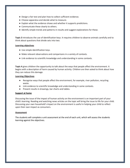- Design a fair test and plan how to collect sufficient evidence.
- Choose apparatus and decide what to measure.
- Explain what the evidence shows and whether it supports predictions.
- Communicate these clearly to others.
- Identify simple trends and patterns in results and suggest explanations for these.

**Topic 3** introduces the use of identification keys. It requires children to observe animals carefully and to think about questions that divide sets into two.

#### **Learning objectives**

- Use simple identification keys.
- Make relevant observations and comparisons in a variety of contexts.
- Link evidence to scientific knowledge and understanding in some contexts.

**Topic 4** gives children the opportunity to talk about the ways that people affect the environment. It begins with a description of harm caused by human activity. Children are then asked to think about how they can reduce this damage.

#### **Learning Objectives**

- Recognise ways that people affect the environment, for example, river pollution, recycling waste.
- Link evidence to scientific knowledge and understanding in some contexts.
- Present results in drawings, bar charts and tables.

#### **Support at home**

Discussing the issue of the impact of human activity on the environment is an important part of your child's learning. Reading and watching news articles on the topic will bring the issue to life for your child. Discussing your own household's impact on the environment is useful in helping your child to reflect upon their own impact as consumers.

#### **Assessment**

The students will complete a unit assessment at the end of each unit, which will assess the students learning against the objectives.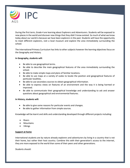

During the first term, Grade 4 are learning about Explorers and Adventurers. Students will be exposed to new places in the world and discover new things that they didn't know existed. So much of what we know today about our world is because we have been explorers in the past. Students will have the opportunity to meet different explorers, visit a local museum and explore the area immediately surrounding the school.

The International Primary Curriculum has links to other subjects however the learning objectives focus on the Geography and History.

# **In Geography, students will:**

- Be able to use geographical terms.
- Be able to describe the main geographical features of the area immediately surrounding the school.
- Be able to make simple maps and plans of familiar locations.
- Be able to use maps at a variety of scales to locate the position and geographical features of particular localities.
- Be able to use secondary sources to obtain geographical information.
- Be able to express views on features of an environment and the way it is being harmed or improved.
- Be able to communicate their geographical knowledge and understanding to ask and answer questions about geographical and environmental features.

#### **In History, students will:**

- Be able to give some reasons for particular events and changes.
- Be able to gather information from simple sources.

Knowledge will be learnt and skills and understanding developed through different projects including:

- Rivers
- Mountains
- Vikings

#### **Support at home**

International students are by nature already explorers and adventurers by living in a country that is not their home, but rather their host country. Combine this with their generation's access to the internet, they are more exposed to the world than some of their peers and other generations.

Students should: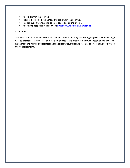- Keep a diary of their travels
- Prepare a scrap book with maps and pictures of their travels.
- Read about different countries from books and on the internet.
- Keep up to date with current affairs<https://www.bbc.co.uk/newsround>

# **Assessment**

There will be no tests however the assessment of students' learning will be on-going in lessons. Knowledge will be assessed through oral and written quizzes, skills measured through observations and selfassessment and written and oral feedback on students' journals and presentations will be given to develop their understanding.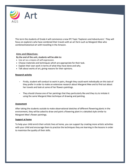

This term the students of Grade 4 will commence a new IPC Topic 'Explorers and Adventurers'. They will focus on explorers who have combined their travels with an art form such as Margaret Mee who combined botanical art with travelling in the Amazon.

# **Aims and Objectives:**

**By the end of the unit, students will be able to:**

- Use art as a means of self-expression.
- Choose materials and techniques which are appropriate for their task.
- Explain their own work in terms of what they have done and why.
- Talk about works of art, giving reasons for their opinions.

## **Research activity**

- Firstly, student will conduct to work in pairs, though they could work individually on this task of they prefer in order to make an extensive research about Margaret Mee and to find out about her travels and look at some of her flowers paintings.
- They should choose one of her paintings that they particularly like and they try to imitate it using the same Margaret Mee technique of drawing and painting.

#### **Assessment**

After taking the students outside to make observational sketches of different flowering plants in the environment, they will be asked to draw and paint a flowering plant in a detailed style similar to Margaret Mee's flower paintings.

#### **Support at home**

To help your child enrich their artistic lives at home, you can support by creating more artistic activities with your child and encourage them to practice the techniques they are learning in the lessons in order to maximize the quality of their skills.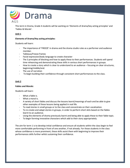

This term in Drama, Grade 4 students will be working on 'Elements of drama/key acting principles' and 'Fables & Morals'.

# **Unit 1**

# **Elements of Drama/Key acting principles:**

Students will learn:

- The importance of 'FREEZE' in drama and the drama studio rules as a performer and audience member.
- Tableaux/Freeze frames
- Facial expression/body language to create character
- The 3 principles of blocking and how to apply these to their performances. Students will spend time rehearsing and demonstrating these skills in various short performances in groups.
- How to create a story which is clear to understand to an audience focusing on clear structures, beginning/middle/end.
- The use of narration
- To begin building their confidence through consistent short performances to the class.

# **Unit 2**

#### **Fables and Morals:**

Students will learn:

- What a fable is.
- What a moral is.
- A variety of short fables and discuss the lessons learnt/meanings of each and be able to give other examples of these lessons being applied in real life.
- To read stories in small groups or to the class and concentrate on their vocalization.
- To re-create and adapt stories in groups, in order to perform short skits based on the fables learnt to an audience.
- Using the elements of drama previously learnt and being able to apply these to their fable topic.
- To begin forming innovative characters which add to their story appropriately.

The aim for term 1 is to develop initial confidence and ensure all students within the class begin to feel more comfortable performing in front of one another, if not already. For those students in the class whose confidence is more prominent, these skills assist them with beginning to improve their performances skills further whilst sustaining their confidence.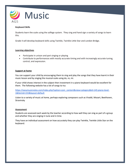

# **Keyboard Skills**

Students learn the scale using the solfege system. They sing and hand sign a variety of songs to learn this.

Grade 4 will develop keyboard skills using Twinkle, Twinkle Little Star and London Bridge.

## **Learning objectives**

- Participate in unison and part singing or playing
- Contribute to performances with mostly accurate timing and with increasingly accurate tuning, control, and expression.

#### **Support at home**

You can support your child by encouraging them to sing and play the songs that they have learnt in their music lesson and by singing the musical scale using do, re, mi.

If your child shows interest in the subject then investment in a piano keyboard would be excellent for them. The following website has a lot of songs to try:

[https://easymusicnotes.com/index.php?option=com\\_content&view=category&id=145:piano-level-](https://easymusicnotes.com/index.php?option=com_content&view=category&id=145:piano-level-1&Itemid=155&layout=default)[1&Itemid=155&layout=default](https://easymusicnotes.com/index.php?option=com_content&view=category&id=145:piano-level-1&Itemid=155&layout=default)

Listen to a variety of music at home, perhaps exploring composers such as Vivaldi, Mozart, Beethoven, Stravinsky

#### **Assessment**

Students are assessed each week by the teacher according to how well they can sing as part of a group and whether they are singing in tune and in time.

They have an individual assessment on how accurately they can play Twinkle, Twinkle Little Star on the keyboard.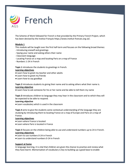

The Scheme of Work followed for French is that provided by the Primary French Project, which has been devised by the Institut Français https://www.institut-francais.org.uk/.

## **Module 1**

This module will be taught over the first half-term and focuses on the following broad themes:

- Introducing oneself and greetings
- Saying your name and asking others their name
- Classroom language
- Locating France on a map and locating Paris on a map of France
- Numbers 1-24 in French

**Topic 1** introduces the students to greetings in French.

#### **Learning objectives**

- Learn how to greet my teacher and other adults
- Learn how to greet my friends
- Learn how to say goodbye

**Topic 2** introduces students to giving their name and to asking others what their name is. **Learning objective**

● Learn how to ask someone for his or her name and be able to tell them my name

**Topic 3** introduces children to language they may hear in the classroom and to which they will be expected to be able to respond.

#### **Learning objective**

● Learn vocabulary which is used in the classroom

**Topic 4** aims to give the students some contextual understanding of the language they are studying by introducing them to locating France on a map of Europe and Paris on a map of France.

#### **Learning objectives**

- Learn where France is located
- Learn where Paris is located in France

**Topic 5** focuses on the children being able to use and understand numbers up to 24 in French. **Learning objectives**

- Learn to use numbers 0-24 in French
- Learn to understand numbers 0-24 in French

#### **Support at home**

In language learning, it is vital that children are given the chance to practise and review what they have learnt. Memorisation of vocabulary is key to building up a good base to enable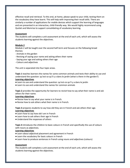effective recall and retrieval. To this end, at home, please speak to your child, testing them on the vocabulary they have learnt. This will help with improving their recall skills. There are similarly a number of applications for mobile devices which support the learning of languages and are presented in an interactive, child-friendly way. We would highly recommend using Quizlet and Memrise to support consolidating of vocabulary learning.

#### **Assessment**

The students will complete a unit assessment at the end of each unit, which will assess the students learning against the objectives.

#### **Module 2**

Module 2 will be taught over the second half-term and focuses on the following broad themes:

- Animals in the garden
- Revising of saying your name and asking others their name
- Saying your age and asking others their age
- Colours and adjectives

The unit is separated into four topic areas.

**Topic 1** teaches learners the names for some common animals and tests their ability to use and understand the question: qu'est-ce qu'il y a dans le jardin (what is there in the garden?) **Learning objectives**

- Learn to use and understand the question: qu'est-ce qu'il y a dans le jardin
- Learn to use and understand the names for common animals

**Topic 2** provides the opportunity for learners to revisit how to say what their name is and ask others for their name.

#### **Learning objectives**

- Revise how to say what your name is in French.
- Revise how to ask others what their name is in French.

**Topic 3** prepares students to say how old they are in French and ask others their age. **Learning objectives**

- Learn how to say how old I am in French
- Learn how to ask others their age in French
- Understand the responses of others

**Topic 4** introduces the children to basic colours in French and specifically the use of colours with nouns as adjectives.

#### **Learning objectives**

- Learn about adjectival placement and agreement in French
- Learn the vocabulary for basic colours in French
- Learn how to produce sentences in French using nouns and adjectives (colours)

#### **Assessment**

The students will complete a unit assessment at the end of each unit, which will assess the students learning against the objectives.